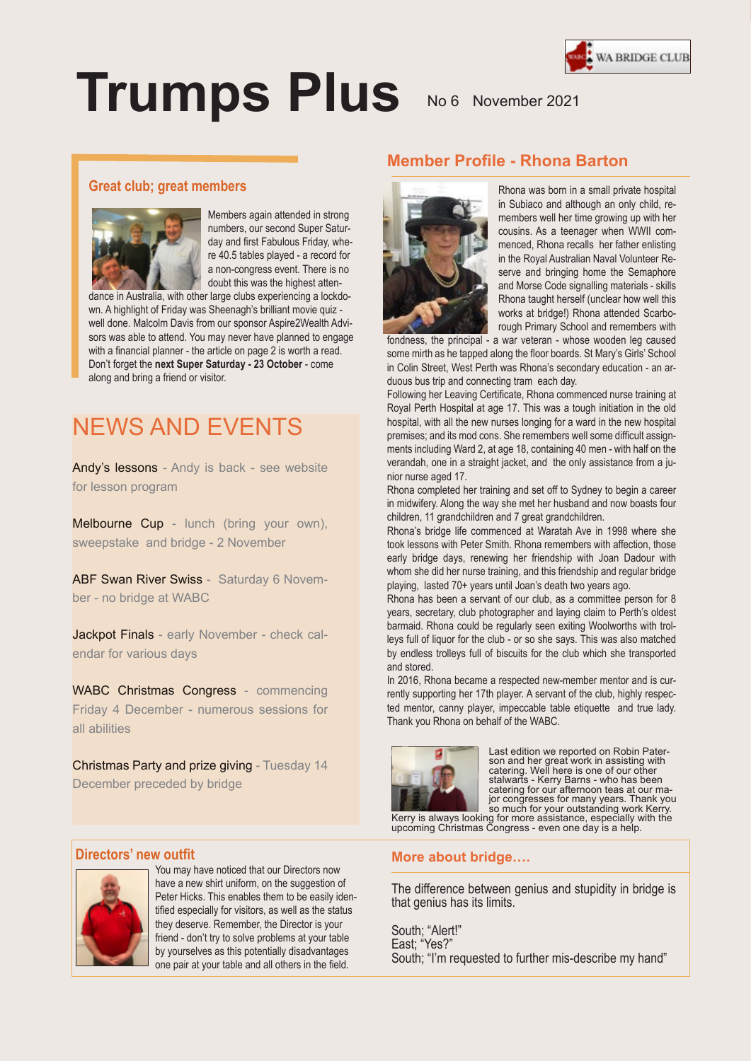

# **Trumps Plus** No 6 November 2021

#### **Great club; great members**



Members again attended in strong numbers, our second Super Saturday and first Fabulous Friday, where 40.5 tables played - a record for a non-congress event. There is no doubt this was the highest atten-

dance in Australia, with other large clubs experiencing a lockdown. A highlight of Friday was Sheenagh's brilliant movie quiz well done. Malcolm Davis from our sponsor Aspire2Wealth Advisors was able to attend. You may never have planned to engage with a financial planner - the article on page 2 is worth a read. Don't forget the **next Super Saturday - 23 October** - come along and bring a friend or visitor.

## NEWS AND EVENTS

Andy's lessons - Andy is back - see website for lesson program

Melbourne Cup - lunch (bring your own), sweepstake and bridge - 2 November

ABF Swan River Swiss - Saturday 6 November - no bridge at WABC

Jackpot Finals - early November - check calendar for various days

WABC Christmas Congress - commencing Friday 4 December - numerous sessions for all abilities

Christmas Party and prize giving - Tuesday 14 December preceded by bridge

### **Member Profile - Rhona Barton**



Rhona was born in a small private hospital in Subiaco and although an only child, remembers well her time growing up with her cousins. As a teenager when WWII commenced, Rhona recalls her father enlisting in the Royal Australian Naval Volunteer Reserve and bringing home the Semaphore and Morse Code signalling materials - skills Rhona taught herself (unclear how well this works at bridge!) Rhona attended Scarborough Primary School and remembers with

fondness, the principal - a war veteran - whose wooden leg caused some mirth as he tapped along the floor boards. St Mary's Girls' School in Colin Street, West Perth was Rhona's secondary education - an arduous bus trip and connecting tram each day.

Following her Leaving Certificate, Rhona commenced nurse training at Royal Perth Hospital at age 17. This was a tough initiation in the old hospital, with all the new nurses longing for a ward in the new hospital premises; and its mod cons. She remembers well some difficult assignments including Ward 2, at age 18, containing 40 men - with half on the verandah, one in a straight jacket, and the only assistance from a junior nurse aged 17.

Rhona completed her training and set off to Sydney to begin a career in midwifery. Along the way she met her husband and now boasts four children, 11 grandchildren and 7 great grandchildren.

Rhona's bridge life commenced at Waratah Ave in 1998 where she took lessons with Peter Smith. Rhona remembers with affection, those early bridge days, renewing her friendship with Joan Dadour with whom she did her nurse training, and this friendship and regular bridge playing, lasted 70+ years until Joan's death two years ago.

Rhona has been a servant of our club, as a committee person for 8 years, secretary, club photographer and laying claim to Perth's oldest barmaid. Rhona could be regularly seen exiting Woolworths with trolleys full of liquor for the club - or so she says. This was also matched by endless trolleys full of biscuits for the club which she transported and stored.

In 2016, Rhona became a respected new-member mentor and is currently supporting her 17th player. A servant of the club, highly respected mentor, canny player, impeccable table etiquette and true lady. Thank you Rhona on behalf of the WABC.



Last edition we reported on Robin Pater-<br>son and her great work in assisting with<br>catering. Well here is one of our other<br>stalwarts - Kerry Barns - who has been<br>catering for our afternoon teas at our major congresses for many years. Thank you so much for your outstanding work Kerry. Kerry is always looking for more assistance, especially with the upcoming Christmas Congress - even one day is a help.

#### **Directors' new outfit**



Suspendisse potenti. Etiam feugiat. You may have noticed that our Directors now have a new shirt uniform, on the suggestion of Peter Hicks. This enables them to be easily identified especially for visitors, as well as the status they deserve. Remember, the Director is your friend - don't try to solve problems at your table by yourselves as this potentially disadvantages one pair at your table and all others in the field.

#### **More about bridge….**

The difference between genius and stupidity in bridge is that genius has its limits.

South; "Alert!" East; "Yes?" South; "I'm requested to further mis-describe my hand"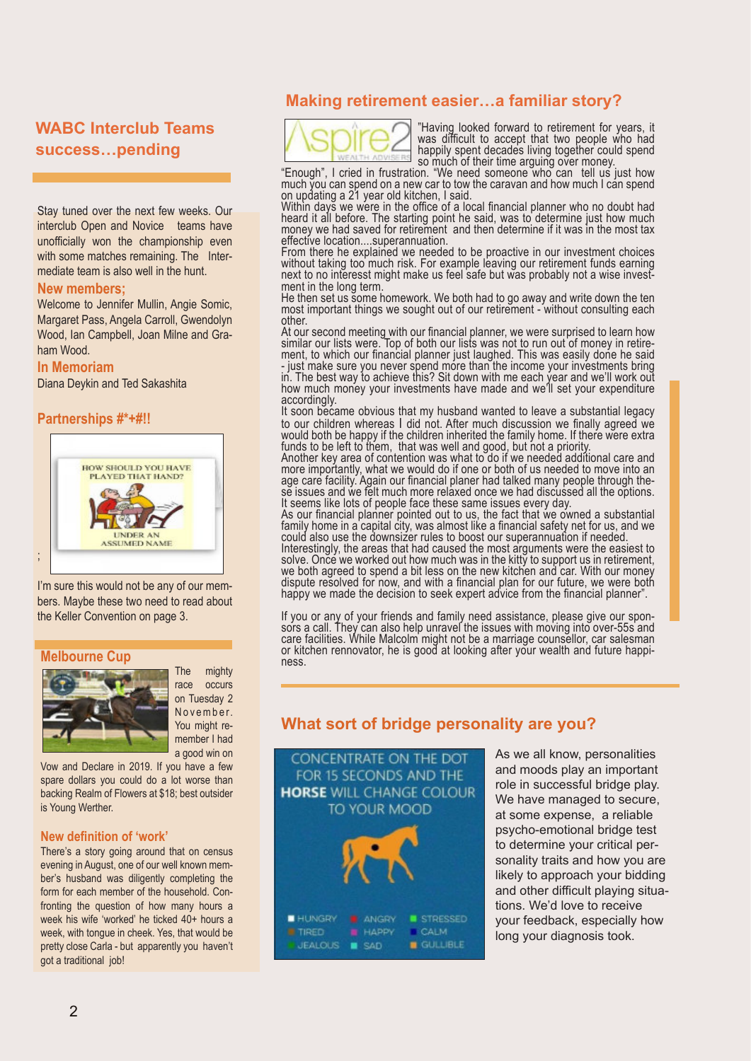#### **WABC Interclub Teams success…pending**

Stay tuned over the next few weeks. Our interclub Open and Novice teams have unofficially won the championship even with some matches remaining. The Intermediate team is also well in the hunt.

#### **New members;**

Welcome to Jennifer Mullin, Angie Somic, Margaret Pass, Angela Carroll, Gwendolyn Wood, Ian Campbell, Joan Milne and Graham Wood.

#### **In Memoriam**

Diana Deykin and Ted Sakashita

**Partnerships #\*+#!!**



I'm sure this would not be any of our members. Maybe these two need to read about the Keller Convention on page 3.

#### **Melbourne Cup**



The mighty race occurs on Tuesday 2 November. You might remember I had a good win on

Vow and Declare in 2019. If you have a few spare dollars you could do a lot worse than backing Realm of Flowers at \$18; best outsider is Young Werther.

#### **New definition of 'work'**

There's a story going around that on census evening in August, one of our well known member's husband was diligently completing the form for each member of the household. Confronting the question of how many hours a week his wife 'worked' he ticked 40+ hours a week, with tongue in cheek. Yes, that would be pretty close Carla - but apparently you haven't got a traditional job!

#### **Making retirement easier…a familiar story?**



"Having looked forward to retirement for years, it was difficult to accept that two people who had happily spent decades living together could spend so much of their time arguing over money.

"Enough", I cried in frustration. "We need someone who can tell us just how much you can spend on a new car to tow the caravan and how much I can spend on updating a 21 year old kitchen, I said.

Within days we were in the office of a local financial planner who no doubt had heard it all before. The starting point he said, was to determine just how much money we had saved for retirement and then determine if it was in the most tax effective location....superannuation.

From there he explained we needed to be proactive in our investment choices without taking too much risk. For example leaving our retirement funds earning next to no interesst might make us feel safe but was probably not a wise investment in the long term.

He then set us some homework. We both had to go away and write down the ten most important things we sought out of our retirement - without consulting each other.

At our second meeting with our financial planner, we were surprised to learn how similar our lists were. Top of both our lists was not to run out of money in retirement, to which our financial planner just laughed. This was easily done he said - just make sure you never spend more than the income your investments bring in. The best way to achieve this? Sit down with me each year and we'll work out how much money your investments have made and we'll set your expenditure accordingly.

It soon became obvious that my husband wanted to leave a substantial legacy to our children whereas I did not. After much discussion we finally agreed we would both be happy if the children inherited the family home. If there were extra funds to be left to them, that was well and good, but not a priority.

Another key area of contention was what to do if we needed additional care and more importantly, what we would do if one or both of us needed to move into an age care facility. Again our financial planer had talked many people through these issues and we felt much more relaxed once we had discussed all the options. It seems like lots of people face these same issues every day.

As our financial planner pointed out to us, the fact that we owned a substantial family home in a capital city, was almost like a financial safety net for us, and we could also use the downsizer rules to boost our superannuation if needed. Interestingly, the areas that had caused the most arguments were the easiest to solve. Once we worked out how much was in the kitty to support us in retirement, we both agreed to spend a bit less on the new kitchen and car. With our money dispute resolved for now, and with a financial plan for our future, we were both happy we made the decision to seek expert advice from the financial planner".

If you or any of your friends and family need assistance, please give our sponsors a call. They can also help unravel the issues with moving into over-55s and care facilities. While Malcolm might not be a marriage counsellor, car salesman or kitchen rennovator, he is good at looking after your wealth and future happiness.

#### **What sort of bridge personality are you?**



As we all know, personalities and moods play an important role in successful bridge play. We have managed to secure, at some expense, a reliable psycho-emotional bridge test to determine your critical personality traits and how you are likely to approach your bidding and other difficult playing situations. We'd love to receive your feedback, especially how long your diagnosis took.